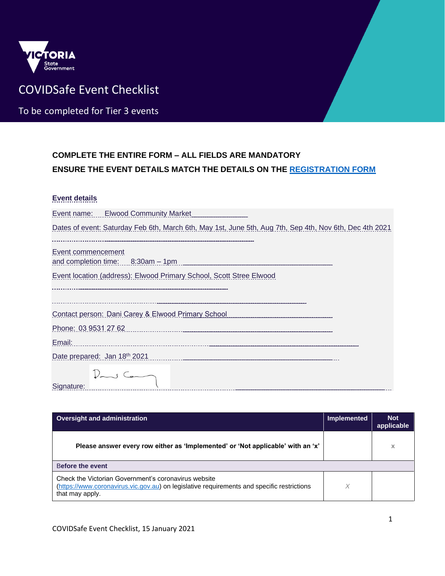

## COVIDSafe Event Checklist

To be completed for Tier 3 events

## **COMPLETE THE ENTIRE FORM – ALL FIELDS ARE MANDATORY ENSURE THE EVENT DETAILS MATCH THE DETAILS ON THE [REGISTRATION FORM](https://www.coronavirus.vic.gov.au/register-your-public-event)**

## **Event details**

| Event name: Elwood Community Market                                                                     |
|---------------------------------------------------------------------------------------------------------|
| Dates of event: Saturday Feb 6th, March 6th, May 1st, June 5th, Aug 7th, Sep 4th, Nov 6th, Dec 4th 2021 |
| Event commencement<br>and completion time: 8:30am - 1pm                                                 |
| Event location (address): Elwood Primary School, Scott Stree Elwood                                     |
|                                                                                                         |
| Contact person: Dani Carey & Elwood Primary School                                                      |
| Phone: 03 9531 27 62                                                                                    |
| Email:                                                                                                  |
| Date prepared: Jan 18th 2021                                                                            |
| Signature:                                                                                              |

| <b>Oversight and administration</b>                                                                                                                                   | <b>Implemented</b> | <b>Not</b><br>applicable |
|-----------------------------------------------------------------------------------------------------------------------------------------------------------------------|--------------------|--------------------------|
| Please answer every row either as 'Implemented' or 'Not applicable' with an 'x'                                                                                       |                    | х                        |
| Before the event                                                                                                                                                      |                    |                          |
| Check the Victorian Government's coronavirus website<br>(https://www.coronavirus.vic.gov.au) on legislative requirements and specific restrictions<br>that may apply. | X                  |                          |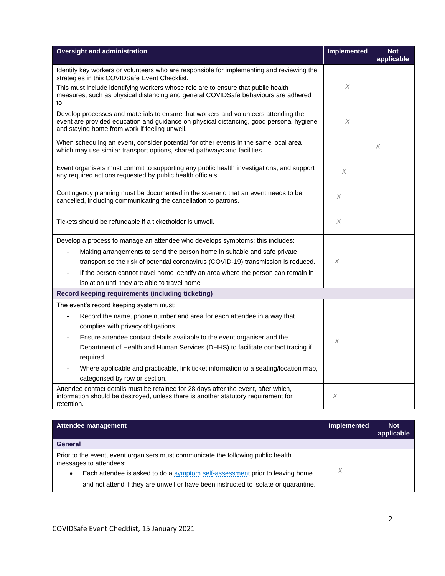| <b>Oversight and administration</b>                                                                                                                                                                                             | <b>Implemented</b> | <b>Not</b><br>applicable |
|---------------------------------------------------------------------------------------------------------------------------------------------------------------------------------------------------------------------------------|--------------------|--------------------------|
| Identify key workers or volunteers who are responsible for implementing and reviewing the<br>strategies in this COVIDSafe Event Checklist.                                                                                      |                    |                          |
| This must include identifying workers whose role are to ensure that public health<br>measures, such as physical distancing and general COVIDSafe behaviours are adhered<br>to.                                                  | X                  |                          |
| Develop processes and materials to ensure that workers and volunteers attending the<br>event are provided education and guidance on physical distancing, good personal hygiene<br>and staying home from work if feeling unwell. | X                  |                          |
| When scheduling an event, consider potential for other events in the same local area<br>which may use similar transport options, shared pathways and facilities.                                                                |                    | X                        |
| Event organisers must commit to supporting any public health investigations, and support<br>any required actions requested by public health officials.                                                                          | X                  |                          |
| Contingency planning must be documented in the scenario that an event needs to be<br>cancelled, including communicating the cancellation to patrons.                                                                            | X                  |                          |
| Tickets should be refundable if a ticketholder is unwell.                                                                                                                                                                       | $\chi$             |                          |
| Develop a process to manage an attendee who develops symptoms; this includes:                                                                                                                                                   |                    |                          |
| Making arrangements to send the person home in suitable and safe private<br>٠                                                                                                                                                   |                    |                          |
| transport so the risk of potential coronavirus (COVID-19) transmission is reduced.                                                                                                                                              | X                  |                          |
| If the person cannot travel home identify an area where the person can remain in<br>$\blacksquare$                                                                                                                              |                    |                          |
| isolation until they are able to travel home                                                                                                                                                                                    |                    |                          |
| Record keeping requirements (including ticketing)                                                                                                                                                                               |                    |                          |
| The event's record keeping system must:                                                                                                                                                                                         |                    |                          |
| Record the name, phone number and area for each attendee in a way that<br>$\qquad \qquad \blacksquare$                                                                                                                          |                    |                          |
| complies with privacy obligations                                                                                                                                                                                               |                    |                          |
| Ensure attendee contact details available to the event organiser and the                                                                                                                                                        | X                  |                          |
| Department of Health and Human Services (DHHS) to facilitate contact tracing if<br>required                                                                                                                                     |                    |                          |
| Where applicable and practicable, link ticket information to a seating/location map,                                                                                                                                            |                    |                          |
| categorised by row or section.                                                                                                                                                                                                  |                    |                          |
| Attendee contact details must be retained for 28 days after the event, after which,<br>information should be destroyed, unless there is another statutory requirement for<br>retention.                                         | X                  |                          |

| Attendee management                                                                                         | Implemented | <b>Not</b><br>applicable |
|-------------------------------------------------------------------------------------------------------------|-------------|--------------------------|
| <b>General</b>                                                                                              |             |                          |
| Prior to the event, event organisers must communicate the following public health<br>messages to attendees: |             |                          |
| Each attendee is asked to do a symptom self-assessment prior to leaving home<br>٠                           | X           |                          |
| and not attend if they are unwell or have been instructed to isolate or quarantine.                         |             |                          |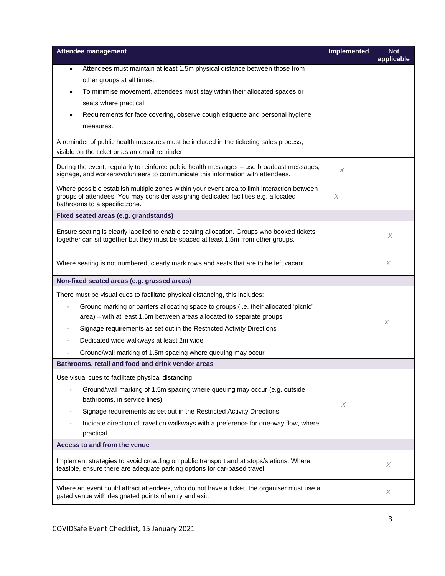| <b>Attendee management</b>                                                                                                                                                                                          | <b>Implemented</b>        | <b>Not</b><br>applicable |
|---------------------------------------------------------------------------------------------------------------------------------------------------------------------------------------------------------------------|---------------------------|--------------------------|
| Attendees must maintain at least 1.5m physical distance between those from<br>٠                                                                                                                                     |                           |                          |
| other groups at all times.                                                                                                                                                                                          |                           |                          |
| To minimise movement, attendees must stay within their allocated spaces or<br>$\bullet$                                                                                                                             |                           |                          |
| seats where practical.                                                                                                                                                                                              |                           |                          |
| Requirements for face covering, observe cough etiquette and personal hygiene                                                                                                                                        |                           |                          |
| measures.                                                                                                                                                                                                           |                           |                          |
| A reminder of public health measures must be included in the ticketing sales process,                                                                                                                               |                           |                          |
| visible on the ticket or as an email reminder.                                                                                                                                                                      |                           |                          |
| During the event, regularly to reinforce public health messages - use broadcast messages,<br>signage, and workers/volunteers to communicate this information with attendees.                                        | $\boldsymbol{\times}$     |                          |
| Where possible establish multiple zones within your event area to limit interaction between<br>groups of attendees. You may consider assigning dedicated facilities e.g. allocated<br>bathrooms to a specific zone. | $\boldsymbol{\mathsf{X}}$ |                          |
| Fixed seated areas (e.g. grandstands)                                                                                                                                                                               |                           |                          |
|                                                                                                                                                                                                                     |                           |                          |
| Ensure seating is clearly labelled to enable seating allocation. Groups who booked tickets<br>together can sit together but they must be spaced at least 1.5m from other groups.                                    |                           | X                        |
| Where seating is not numbered, clearly mark rows and seats that are to be left vacant.                                                                                                                              |                           | X                        |
| Non-fixed seated areas (e.g. grassed areas)                                                                                                                                                                         |                           |                          |
| There must be visual cues to facilitate physical distancing, this includes:                                                                                                                                         |                           |                          |
| Ground marking or barriers allocating space to groups (i.e. their allocated 'picnic'                                                                                                                                |                           |                          |
| area) – with at least 1.5m between areas allocated to separate groups                                                                                                                                               |                           | X                        |
| Signage requirements as set out in the Restricted Activity Directions<br>$\overline{\phantom{a}}$                                                                                                                   |                           |                          |
| Dedicated wide walkways at least 2m wide                                                                                                                                                                            |                           |                          |
| Ground/wall marking of 1.5m spacing where queuing may occur                                                                                                                                                         |                           |                          |
| Bathrooms, retail and food and drink vendor areas                                                                                                                                                                   |                           |                          |
| Use visual cues to facilitate physical distancing:                                                                                                                                                                  |                           |                          |
| Ground/wall marking of 1.5m spacing where queuing may occur (e.g. outside                                                                                                                                           |                           |                          |
| bathrooms, in service lines)                                                                                                                                                                                        | X                         |                          |
| Signage requirements as set out in the Restricted Activity Directions                                                                                                                                               |                           |                          |
| Indicate direction of travel on walkways with a preference for one-way flow, where<br>practical.                                                                                                                    |                           |                          |
| Access to and from the venue                                                                                                                                                                                        |                           |                          |
| Implement strategies to avoid crowding on public transport and at stops/stations. Where<br>feasible, ensure there are adequate parking options for car-based travel.                                                |                           | X                        |
| Where an event could attract attendees, who do not have a ticket, the organiser must use a<br>gated venue with designated points of entry and exit.                                                                 |                           | Χ                        |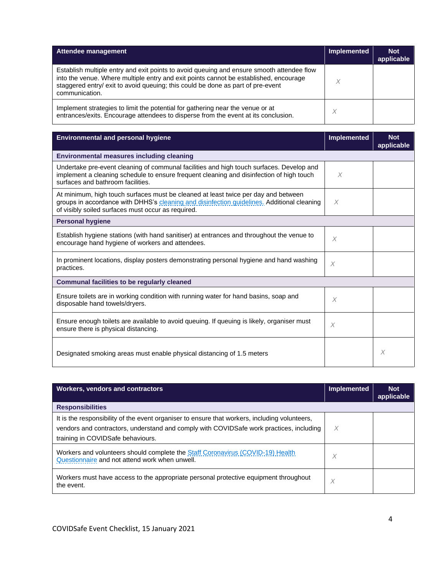| Attendee management                                                                                                                                                                                                                                                                     | <b>Implemented</b> | <b>Not</b><br>applicable |
|-----------------------------------------------------------------------------------------------------------------------------------------------------------------------------------------------------------------------------------------------------------------------------------------|--------------------|--------------------------|
| Establish multiple entry and exit points to avoid queuing and ensure smooth attendee flow<br>into the venue. Where multiple entry and exit points cannot be established, encourage<br>staggered entry/ exit to avoid queuing; this could be done as part of pre-event<br>communication. |                    |                          |
| Implement strategies to limit the potential for gathering near the venue or at<br>entrances/exits. Encourage attendees to disperse from the event at its conclusion.                                                                                                                    | X                  |                          |

| <b>Environmental and personal hygiene</b>                                                                                                                                                                                              | <b>Implemented</b> | <b>Not</b><br>applicable |
|----------------------------------------------------------------------------------------------------------------------------------------------------------------------------------------------------------------------------------------|--------------------|--------------------------|
| Environmental measures including cleaning                                                                                                                                                                                              |                    |                          |
| Undertake pre-event cleaning of communal facilities and high touch surfaces. Develop and<br>implement a cleaning schedule to ensure frequent cleaning and disinfection of high touch<br>surfaces and bathroom facilities.              | $\times$           |                          |
| At minimum, high touch surfaces must be cleaned at least twice per day and between<br>groups in accordance with DHHS's cleaning and disinfection quidelines. Additional cleaning<br>of visibly soiled surfaces must occur as required. | X                  |                          |
| <b>Personal hygiene</b>                                                                                                                                                                                                                |                    |                          |
| Establish hygiene stations (with hand sanitiser) at entrances and throughout the venue to<br>encourage hand hygiene of workers and attendees.                                                                                          | X                  |                          |
| In prominent locations, display posters demonstrating personal hygiene and hand washing<br>practices.                                                                                                                                  | $\times$           |                          |
| <b>Communal facilities to be regularly cleaned</b>                                                                                                                                                                                     |                    |                          |
| Ensure toilets are in working condition with running water for hand basins, soap and<br>disposable hand towels/dryers.                                                                                                                 | $\times$           |                          |
| Ensure enough toilets are available to avoid queuing. If queuing is likely, organiser must<br>ensure there is physical distancing.                                                                                                     | X                  |                          |
| Designated smoking areas must enable physical distancing of 1.5 meters                                                                                                                                                                 |                    | X                        |

| <b>Workers, vendors and contractors</b>                                                                                                                                                                                       | <b>Implemented</b> | <b>Not</b><br>applicable |
|-------------------------------------------------------------------------------------------------------------------------------------------------------------------------------------------------------------------------------|--------------------|--------------------------|
| <b>Responsibilities</b>                                                                                                                                                                                                       |                    |                          |
| It is the responsibility of the event organiser to ensure that workers, including volunteers,<br>vendors and contractors, understand and comply with COVIDSafe work practices, including<br>training in COVIDSafe behaviours. | X                  |                          |
| Workers and volunteers should complete the Staff Coronavirus (COVID-19) Health<br>Questionnaire and not attend work when unwell.                                                                                              | X                  |                          |
| Workers must have access to the appropriate personal protective equipment throughout<br>the event.                                                                                                                            | X                  |                          |